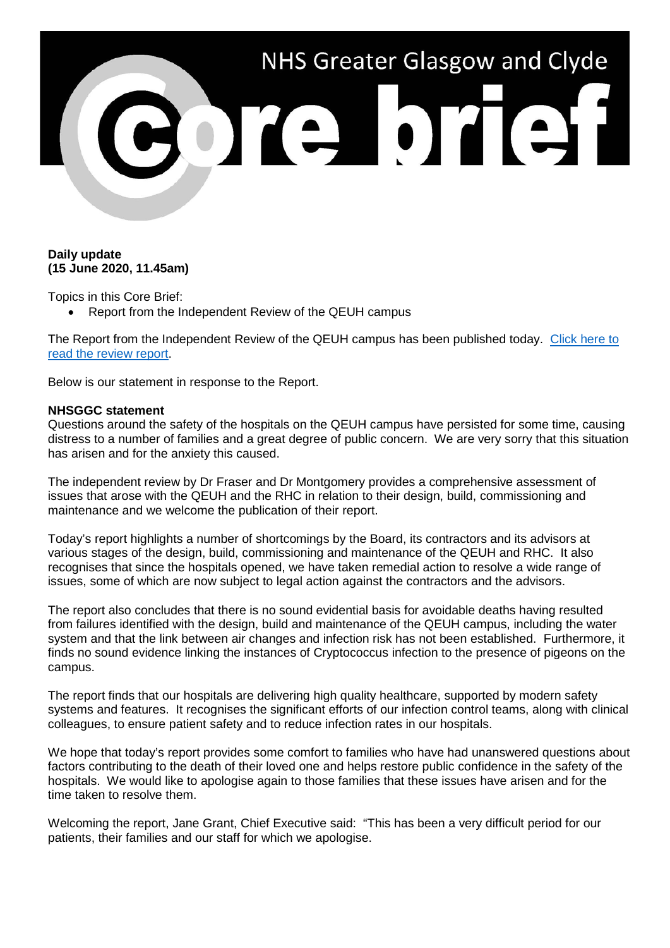

## **Daily update (15 June 2020, 11.45am)**

Topics in this Core Brief:

• Report from the Independent Review of the QEUH campus

The Report from the Independent Review of the QEUH campus has been published today. [Click here to](https://www.queenelizabethhospitalreview.scot/queen-elizabeth-university-hospital-review-review-report/)  [read the review report.](https://www.queenelizabethhospitalreview.scot/queen-elizabeth-university-hospital-review-review-report/)

Below is our statement in response to the Report.

## **NHSGGC statement**

Questions around the safety of the hospitals on the QEUH campus have persisted for some time, causing distress to a number of families and a great degree of public concern. We are very sorry that this situation has arisen and for the anxiety this caused.

The independent review by Dr Fraser and Dr Montgomery provides a comprehensive assessment of issues that arose with the QEUH and the RHC in relation to their design, build, commissioning and maintenance and we welcome the publication of their report.

Today's report highlights a number of shortcomings by the Board, its contractors and its advisors at various stages of the design, build, commissioning and maintenance of the QEUH and RHC. It also recognises that since the hospitals opened, we have taken remedial action to resolve a wide range of issues, some of which are now subject to legal action against the contractors and the advisors.

The report also concludes that there is no sound evidential basis for avoidable deaths having resulted from failures identified with the design, build and maintenance of the QEUH campus, including the water system and that the link between air changes and infection risk has not been established. Furthermore, it finds no sound evidence linking the instances of Cryptococcus infection to the presence of pigeons on the campus.

The report finds that our hospitals are delivering high quality healthcare, supported by modern safety systems and features. It recognises the significant efforts of our infection control teams, along with clinical colleagues, to ensure patient safety and to reduce infection rates in our hospitals.

We hope that today's report provides some comfort to families who have had unanswered questions about factors contributing to the death of their loved one and helps restore public confidence in the safety of the hospitals. We would like to apologise again to those families that these issues have arisen and for the time taken to resolve them.

Welcoming the report, Jane Grant, Chief Executive said: "This has been a very difficult period for our patients, their families and our staff for which we apologise.